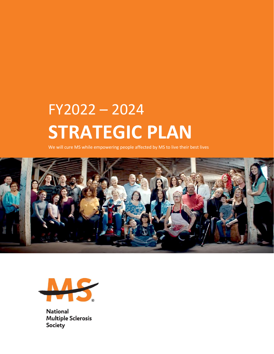# FY2022 – 2024 **STRATEGIC PLAN**

We will cure MS while empowering people affected by MS to live their best lives





**National Multiple Sclerosis Society**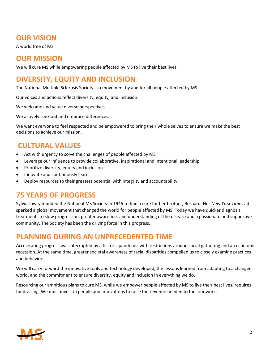# **OUR VISION**

A world free of MS

# **OUR MISSION**

We will cure MS while empowering people affected by MS to live their best lives

# **DIVERSITY, EQUITY AND INCLUSION**

The National Multiple Sclerosis Society is a movement by and for all people affected by MS.

Our voices and actions reflect diversity, equity, and inclusion.

We welcome and value diverse perspectives.

We actively seek out and embrace differences.

We want everyone to feel respected and be empowered to bring their whole selves to ensure we make the best decisions to achieve our mission.

# **CULTURAL VALUES**

- Act with urgency to solve the challenges of people affected by MS
- Leverage our influence to provide collaborative, inspirational and intentional leadership
- Prioritize diversity, equity and inclusion
- Innovate and continuously learn
- Deploy resources to their greatest potential with integrity and accountability

## **75 YEARS OF PROGRESS**

Sylvia Lawry founded the National MS Society in 1946 to find a cure for her brother, Bernard. Her *New York Times* ad sparked a global movement that changed the world for people affected by MS. Today we have quicker diagnosis, treatments to slow progression, greater awareness and understanding of the disease and a passionate and supportive community. The Society has been the driving force in this progress.

## **PLANNING DURING AN UNPRECEDENTED TIME**

Accelerating progress was interrupted by a historic pandemic with restrictions around social gathering and an economic recession. At the same time, greater societal awareness of racial disparities compelled us to closely examine practices and behaviors.

We will carry forward the innovative tools and technology developed, the lessons learned from adapting to a changed world, and the commitment to ensure diversity, equity and inclusion in everything we do.

Resourcing our ambitious plans to cure MS, while we empower people affected by MS to live their best lives, requires fundraising. We must invest in people and innovations to raise the revenue needed to fuel our work.

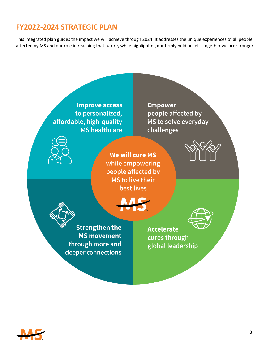# **FY2022-2024 STRATEGIC PLAN**

This integrated plan guides the impact we will achieve through 2024. It addresses the unique experiences of all people affected by MS and our role in reaching that future, while highlighting our firmly held belief—together we are stronger.